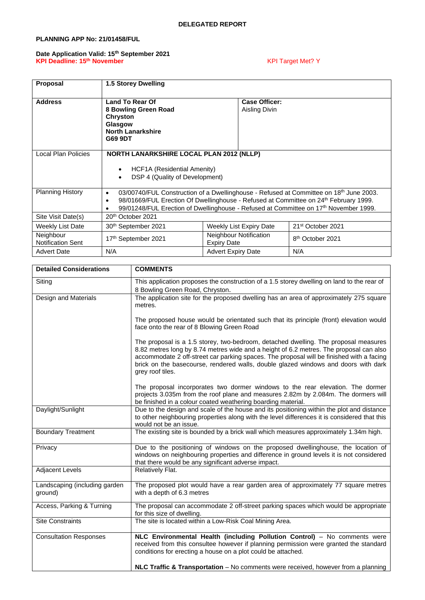# **PLANNING APP No: 21/01458/FUL**

### **Date Application Valid: 15th September 2021 KPI Deadline: 15th November** KPI Target Met? Y

| <b>Proposal</b>                       | 1.5 Storey Dwelling                                                                                                                                                                                                                                                                                              |                                              |                               |
|---------------------------------------|------------------------------------------------------------------------------------------------------------------------------------------------------------------------------------------------------------------------------------------------------------------------------------------------------------------|----------------------------------------------|-------------------------------|
| <b>Address</b>                        | <b>Land To Rear Of</b><br>8 Bowling Green Road<br><b>Chryston</b><br>Glasgow<br><b>North Lanarkshire</b><br>G69 9DT                                                                                                                                                                                              | <b>Case Officer:</b><br>Aisling Divin        |                               |
| Local Plan Policies                   | NORTH LANARKSHIRE LOCAL PLAN 2012 (NLLP)<br>HCF1A (Residential Amenity)<br>$\bullet$<br>DSP 4 (Quality of Development)<br>$\bullet$                                                                                                                                                                              |                                              |                               |
| Planning History                      | 03/00740/FUL Construction of a Dwellinghouse - Refused at Committee on 18 <sup>th</sup> June 2003.<br>$\bullet$<br>98/01669/FUL Erection Of Dwellinghouse - Refused at Committee on 24 <sup>th</sup> February 1999.<br>٠<br>99/01248/FUL Erection of Dwellinghouse - Refused at Committee on 17th November 1999. |                                              |                               |
| Site Visit Date(s)                    | 20 <sup>th</sup> October 2021                                                                                                                                                                                                                                                                                    |                                              |                               |
| Weekly List Date                      | 30th September 2021                                                                                                                                                                                                                                                                                              | Weekly List Expiry Date                      | 21 <sup>st</sup> October 2021 |
| Neighbour<br><b>Notification Sent</b> | 17th September 2021                                                                                                                                                                                                                                                                                              | Neighbour Notification<br><b>Expiry Date</b> | 8 <sup>th</sup> October 2021  |
| <b>Advert Date</b>                    | N/A                                                                                                                                                                                                                                                                                                              | <b>Advert Expiry Date</b>                    | N/A                           |

| <b>Detailed Considerations</b>           | <b>COMMENTS</b>                                                                                                                                                                                                                                                                                                                                                                     |
|------------------------------------------|-------------------------------------------------------------------------------------------------------------------------------------------------------------------------------------------------------------------------------------------------------------------------------------------------------------------------------------------------------------------------------------|
| Siting                                   | This application proposes the construction of a 1.5 storey dwelling on land to the rear of                                                                                                                                                                                                                                                                                          |
|                                          | 8 Bowling Green Road, Chryston.                                                                                                                                                                                                                                                                                                                                                     |
| Design and Materials                     | The application site for the proposed dwelling has an area of approximately 275 square<br>metres.                                                                                                                                                                                                                                                                                   |
|                                          | The proposed house would be orientated such that its principle (front) elevation would<br>face onto the rear of 8 Blowing Green Road                                                                                                                                                                                                                                                |
|                                          | The proposal is a 1.5 storey, two-bedroom, detached dwelling. The proposal measures<br>8.82 metres long by 8.74 metres wide and a height of 6.2 metres. The proposal can also<br>accommodate 2 off-street car parking spaces. The proposal will be finished with a facing<br>brick on the basecourse, rendered walls, double glazed windows and doors with dark<br>grey roof tiles. |
|                                          | The proposal incorporates two dormer windows to the rear elevation. The dormer<br>projects 3.035m from the roof plane and measures 2.82m by 2.084m. The dormers will<br>be finished in a colour coated weathering boarding material.                                                                                                                                                |
| Daylight/Sunlight                        | Due to the design and scale of the house and its positioning within the plot and distance<br>to other neighbouring properties along with the level differences it is considered that this<br>would not be an issue.                                                                                                                                                                 |
| <b>Boundary Treatment</b>                | The existing site is bounded by a brick wall which measures approximately 1.34m high.                                                                                                                                                                                                                                                                                               |
| Privacy                                  | Due to the positioning of windows on the proposed dwellinghouse, the location of<br>windows on neighbouring properties and difference in ground levels it is not considered<br>that there would be any significant adverse impact.                                                                                                                                                  |
| <b>Adjacent Levels</b>                   | Relatively Flat.                                                                                                                                                                                                                                                                                                                                                                    |
| Landscaping (including garden<br>ground) | The proposed plot would have a rear garden area of approximately 77 square metres<br>with a depth of 6.3 metres                                                                                                                                                                                                                                                                     |
| Access, Parking & Turning                | The proposal can accommodate 2 off-street parking spaces which would be appropriate<br>for this size of dwelling.                                                                                                                                                                                                                                                                   |
| <b>Site Constraints</b>                  | The site is located within a Low-Risk Coal Mining Area.                                                                                                                                                                                                                                                                                                                             |
| <b>Consultation Responses</b>            | NLC Environmental Health (including Pollution Control) - No comments were<br>received from this consultee however if planning permission were granted the standard<br>conditions for erecting a house on a plot could be attached.                                                                                                                                                  |
|                                          | <b>NLC Traffic &amp; Transportation</b> – No comments were received, however from a planning                                                                                                                                                                                                                                                                                        |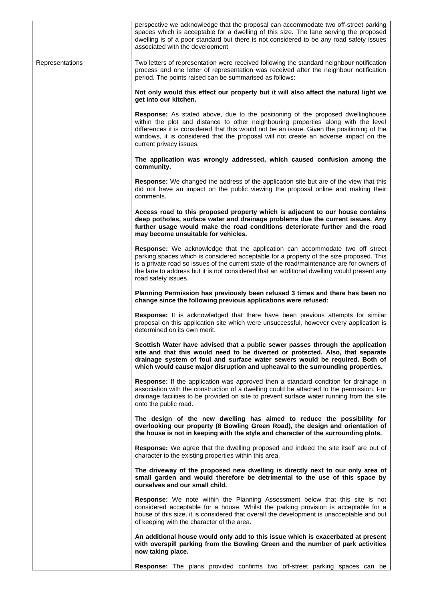|                 | perspective we acknowledge that the proposal can accommodate two off-street parking<br>spaces which is acceptable for a dwelling of this size. The lane serving the proposed<br>dwelling is of a poor standard but there is not considered to be any road safety issues<br>associated with the development                                                                                 |
|-----------------|--------------------------------------------------------------------------------------------------------------------------------------------------------------------------------------------------------------------------------------------------------------------------------------------------------------------------------------------------------------------------------------------|
| Representations | Two letters of representation were received following the standard neighbour notification<br>process and one letter of representation was received after the neighbour notification<br>period. The points raised can be summarised as follows:                                                                                                                                             |
|                 | Not only would this effect our property but it will also affect the natural light we<br>get into our kitchen.                                                                                                                                                                                                                                                                              |
|                 | Response: As stated above, due to the positioning of the proposed dwellinghouse<br>within the plot and distance to other neighbouring properties along with the level<br>differences it is considered that this would not be an issue. Given the positioning of the<br>windows, it is considered that the proposal will not create an adverse impact on the<br>current privacy issues.     |
|                 | The application was wrongly addressed, which caused confusion among the<br>community.                                                                                                                                                                                                                                                                                                      |
|                 | Response: We changed the address of the application site but are of the view that this<br>did not have an impact on the public viewing the proposal online and making their<br>comments.                                                                                                                                                                                                   |
|                 | Access road to this proposed property which is adjacent to our house contains<br>deep potholes, surface water and drainage problems due the current issues. Any<br>further usage would make the road conditions deteriorate further and the road<br>may become unsuitable for vehicles.                                                                                                    |
|                 | Response: We acknowledge that the application can accommodate two off street<br>parking spaces which is considered acceptable for a property of the size proposed. This<br>is a private road so issues of the current state of the road/maintenance are for owners of<br>the lane to address but it is not considered that an additional dwelling would present any<br>road safety issues. |
|                 | Planning Permission has previously been refused 3 times and there has been no<br>change since the following previous applications were refused:                                                                                                                                                                                                                                            |
|                 | Response: It is acknowledged that there have been previous attempts for similar<br>proposal on this application site which were unsuccessful, however every application is<br>determined on its own merit.                                                                                                                                                                                 |
|                 | Scottish Water have advised that a public sewer passes through the application<br>site and that this would need to be diverted or protected. Also, that separate<br>drainage system of foul and surface water sewers would be required. Both of<br>which would cause major disruption and upheaval to the surrounding properties.                                                          |
|                 | <b>Response:</b> If the application was approved then a standard condition for drainage in<br>association with the construction of a dwelling could be attached to the permission. For<br>drainage facilities to be provided on site to prevent surface water running from the site<br>onto the public road.                                                                               |
|                 | The design of the new dwelling has aimed to reduce the possibility for<br>overlooking our property (8 Bowling Green Road), the design and orientation of<br>the house is not in keeping with the style and character of the surrounding plots.                                                                                                                                             |
|                 | <b>Response:</b> We agree that the dwelling proposed and indeed the site itself are out of<br>character to the existing properties within this area.                                                                                                                                                                                                                                       |
|                 | The driveway of the proposed new dwelling is directly next to our only area of<br>small garden and would therefore be detrimental to the use of this space by<br>ourselves and our small child.                                                                                                                                                                                            |
|                 | <b>Response:</b> We note within the Planning Assessment below that this site is not<br>considered acceptable for a house. Whilst the parking provision is acceptable for a<br>house of this size, it is considered that overall the development is unacceptable and out<br>of keeping with the character of the area.                                                                      |
|                 | An additional house would only add to this issue which is exacerbated at present<br>with overspill parking from the Bowling Green and the number of park activities<br>now taking place.                                                                                                                                                                                                   |
|                 | Response: The plans provided confirms two off-street parking spaces can be                                                                                                                                                                                                                                                                                                                 |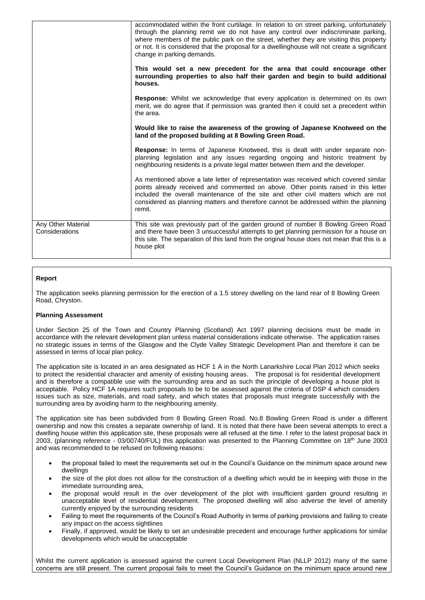|                                      | accommodated within the front curtilage. In relation to on street parking, unfortunately<br>through the planning remit we do not have any control over indiscriminate parking,<br>where members of the public park on the street, whether they are visiting this property<br>or not. It is considered that the proposal for a dwellinghouse will not create a significant<br>change in parking demands.<br>This would set a new precedent for the area that could encourage other<br>surrounding properties to also half their garden and begin to build additional<br>houses. |  |
|--------------------------------------|--------------------------------------------------------------------------------------------------------------------------------------------------------------------------------------------------------------------------------------------------------------------------------------------------------------------------------------------------------------------------------------------------------------------------------------------------------------------------------------------------------------------------------------------------------------------------------|--|
|                                      |                                                                                                                                                                                                                                                                                                                                                                                                                                                                                                                                                                                |  |
|                                      | <b>Response:</b> Whilst we acknowledge that every application is determined on its own<br>merit, we do agree that if permission was granted then it could set a precedent within<br>the area.                                                                                                                                                                                                                                                                                                                                                                                  |  |
|                                      | Would like to raise the awareness of the growing of Japanese Knotweed on the<br>land of the proposed building at 8 Bowling Green Road.                                                                                                                                                                                                                                                                                                                                                                                                                                         |  |
|                                      | <b>Response:</b> In terms of Japanese Knotweed, this is dealt with under separate non-<br>planning legislation and any issues regarding ongoing and historic treatment by<br>neighbouring residents is a private legal matter between them and the developer.                                                                                                                                                                                                                                                                                                                  |  |
|                                      | As mentioned above a late letter of representation was received which covered similar<br>points already received and commented on above. Other points raised in this letter<br>included the overall maintenance of the site and other civil matters which are not<br>considered as planning matters and therefore cannot be addressed within the planning<br>remit.                                                                                                                                                                                                            |  |
| Any Other Material<br>Considerations | This site was previously part of the garden ground of number 8 Bowling Green Road<br>and there have been 3 unsuccessful attempts to get planning permission for a house on<br>this site. The separation of this land from the original house does not mean that this is a<br>house plot                                                                                                                                                                                                                                                                                        |  |

## **Report**

The application seeks planning permission for the erection of a 1.5 storey dwelling on the land rear of 8 Bowling Green Road, Chryston.

#### **Planning Assessment**

Under Section 25 of the Town and Country Planning (Scotland) Act 1997 planning decisions must be made in accordance with the relevant development plan unless material considerations indicate otherwise. The application raises no strategic issues in terms of the Glasgow and the Clyde Valley Strategic Development Plan and therefore it can be assessed in terms of local plan policy.

The application site is located in an area designated as HCF 1 A in the North Lanarkshire Local Plan 2012 which seeks to protect the residential character and amenity of existing housing areas. The proposal is for residential development and is therefore a compatible use with the surrounding area and as such the principle of developing a house plot is acceptable. Policy HCF 1A requires such proposals to be to be assessed against the criteria of DSP 4 which considers issues such as size, materials, and road safety, and which states that proposals must integrate successfully with the surrounding area by avoiding harm to the neighbouring amenity.

The application site has been subdivided from 8 Bowling Green Road. No.8 Bowling Green Road is under a different ownership and now this creates a separate ownership of land. It is noted that there have been several attempts to erect a dwelling house within this application site, these proposals were all refused at the time. I refer to the latest proposal back in 2003, (planning reference - 03/00740/FUL) this application was presented to the Planning Committee on 18<sup>th</sup> June 2003 and was recommended to be refused on following reasons:

- the proposal failed to meet the requirements set out in the Council's Guidance on the minimum space around new dwellings
- the size of the plot does not allow for the construction of a dwelling which would be in keeping with those in the immediate surrounding area,
- the proposal would result in the over development of the plot with insufficient garden ground resulting in unacceptable level of residential development. The proposed dwelling will also adverse the level of amenity currently enjoyed by the surrounding residents
- Failing to meet the requirements of the Council's Road Authority in terms of parking provisions and failing to create any impact on the access sightlines
- Finally, if approved, would be likely to set an undesirable precedent and encourage further applications for similar developments which would be unacceptable

Whilst the current application is assessed against the current Local Development Plan (NLLP 2012) many of the same concerns are still present. The current proposal fails to meet the Council's Guidance on the minimum space around new